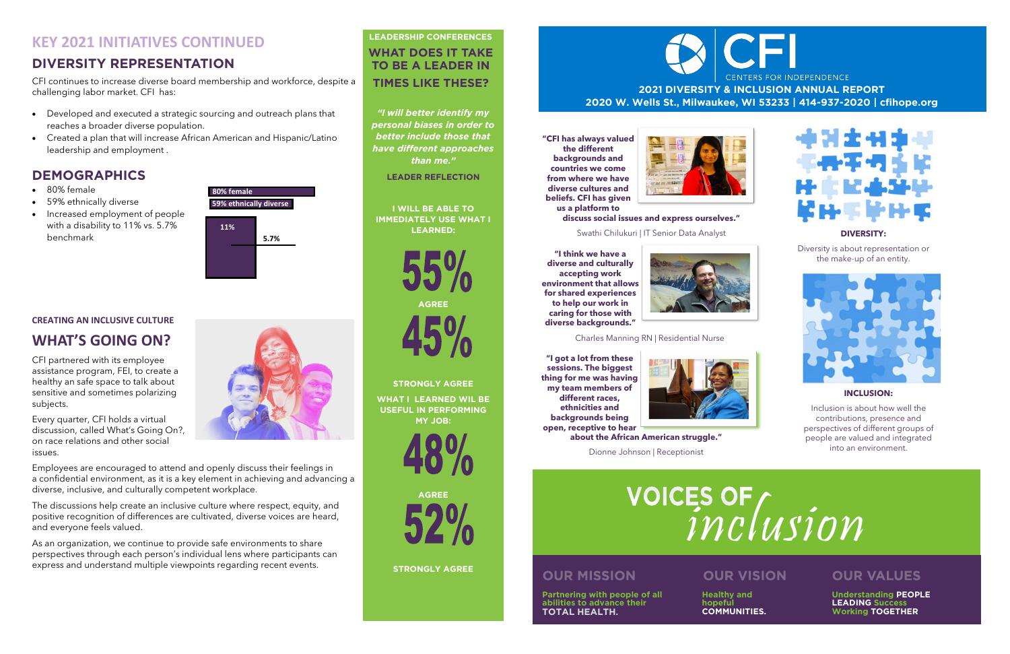**"I got a lot from these sessions. The biggest thing for me was having my team members of different races, ethnicities and backgrounds being open, receptive to hear** 



**about the African American struggle."**

Dionne Johnson | Receptionist

## **OUR MISSION**

# **KEY 2021 INITIATIVES CONTINUED**

# **DIVERSITY REPRESENTATION**

**DIVERSITY REPRESENTATION**  CFI continues to increase diverse board membership and workforce, despite a challenging labor market. CFI has:

- **80% female**
- 59% ethnically diverse
- Increased employment of people with a disability to 11% vs. 5.7% benchmark
- Developed and executed a strategic sourcing and outreach plans that reaches a broader diverse population.
- Created a plan that will increase African American and Hispanic/Latino leadership and employment .

# **DEMOGRAPHICS**

### **CREATING AN INCLUSIVE CULTURE**

# **WHAT'S GOING ON?**

CFI partnered with its employee assistance program, FEI, to create a healthy an safe space to talk about sensitive and sometimes polarizing subjects.

*"I will better identify my better include those that have different approaches* than me."

**LEADER REFLECTION** 

**I WILL BE ABLE TO IMMEDIATELY USE WHAT I LEARNED:** 

**STRONGLY AGREE<br>WHAT I LEARNED WIL BE WHAT IN PERFORMING USEFUL YM** 

Every quarter, CFI holds a virtual discussion, called What's Going On?, on race relations and other social issues.

# **WHAT DOES IT TAKE TIMES LIKE THESE?**

Employees are encouraged to attend and openly discuss their feelings in a confidential environment, as it is a key element in achieving and advancing a diverse, inclusive, and culturally competent workplace.

> **Partnering with people of all TOTAL HEALTH.**

# **OUR VISION**

 **Healthy and COMMU** 





The discussions help create an inclusive culture where respect, equity, and positive recognition of differences are cultivated, diverse voices are heard, and everyone feels valued.

As an organization, we continue to provide safe environments to share perspectives through each person's individual lens where participants can express and understand multiple viewpoints regarding recent events.

**"I think we have a diverse and culturally accepting work environment that allows for shared experiences to help our work in caring for those with diverse backgrounds."**



Charles Manning RN | Residential Nurse





**STRONGLY AGREE** 

**Understanding PEOPLE Working TOGETH Working TOGETHER**

**"CFI has always valued the different backgrounds and countries we come from where we have diverse cultures and beliefs. CFI has given** 

**us a platform to** 



**discuss social issues and express ourselves."**

Swathi Chilukuri | IT Senior Data Analyst



## **OUR VALUES**

#### **DIVERSITY:**

Diversity is about representation or the make-up of an entity.



#### **INCLUSION:**

Inclusion is about how well the contributions, presence and perspectives of different groups of people are valued and integrated into an environment.